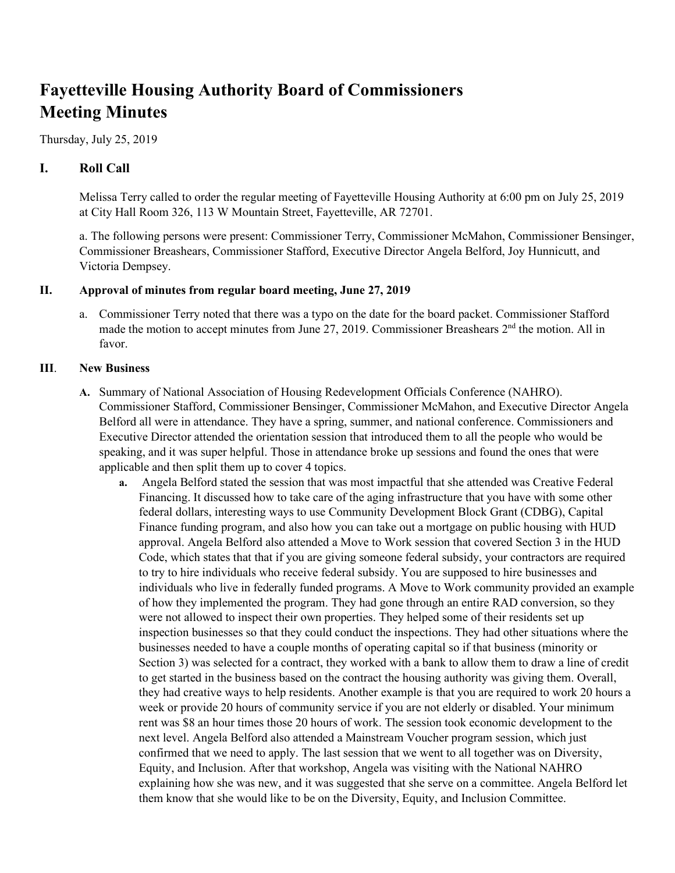# **Fayetteville Housing Authority Board of Commissioners Meeting Minutes**

Thursday, July 25, 2019

## **I. Roll Call**

Melissa Terry called to order the regular meeting of Fayetteville Housing Authority at 6:00 pm on July 25, 2019 at City Hall Room 326, 113 W Mountain Street, Fayetteville, AR 72701.

a. The following persons were present: Commissioner Terry, Commissioner McMahon, Commissioner Bensinger, Commissioner Breashears, Commissioner Stafford, Executive Director Angela Belford, Joy Hunnicutt, and Victoria Dempsey.

### **II. Approval of minutes from regular board meeting, June 27, 2019**

a. Commissioner Terry noted that there was a typo on the date for the board packet. Commissioner Stafford made the motion to accept minutes from June 27, 2019. Commissioner Breashears 2<sup>nd</sup> the motion. All in favor.

### **III**. **New Business**

- **A.** Summary of National Association of Housing Redevelopment Officials Conference (NAHRO). Commissioner Stafford, Commissioner Bensinger, Commissioner McMahon, and Executive Director Angela Belford all were in attendance. They have a spring, summer, and national conference. Commissioners and Executive Director attended the orientation session that introduced them to all the people who would be speaking, and it was super helpful. Those in attendance broke up sessions and found the ones that were applicable and then split them up to cover 4 topics.
	- **a.** Angela Belford stated the session that was most impactful that she attended was Creative Federal Financing. It discussed how to take care of the aging infrastructure that you have with some other federal dollars, interesting ways to use Community Development Block Grant (CDBG), Capital Finance funding program, and also how you can take out a mortgage on public housing with HUD approval. Angela Belford also attended a Move to Work session that covered Section 3 in the HUD Code, which states that that if you are giving someone federal subsidy, your contractors are required to try to hire individuals who receive federal subsidy. You are supposed to hire businesses and individuals who live in federally funded programs. A Move to Work community provided an example of how they implemented the program. They had gone through an entire RAD conversion, so they were not allowed to inspect their own properties. They helped some of their residents set up inspection businesses so that they could conduct the inspections. They had other situations where the businesses needed to have a couple months of operating capital so if that business (minority or Section 3) was selected for a contract, they worked with a bank to allow them to draw a line of credit to get started in the business based on the contract the housing authority was giving them. Overall, they had creative ways to help residents. Another example is that you are required to work 20 hours a week or provide 20 hours of community service if you are not elderly or disabled. Your minimum rent was \$8 an hour times those 20 hours of work. The session took economic development to the next level. Angela Belford also attended a Mainstream Voucher program session, which just confirmed that we need to apply. The last session that we went to all together was on Diversity, Equity, and Inclusion. After that workshop, Angela was visiting with the National NAHRO explaining how she was new, and it was suggested that she serve on a committee. Angela Belford let them know that she would like to be on the Diversity, Equity, and Inclusion Committee.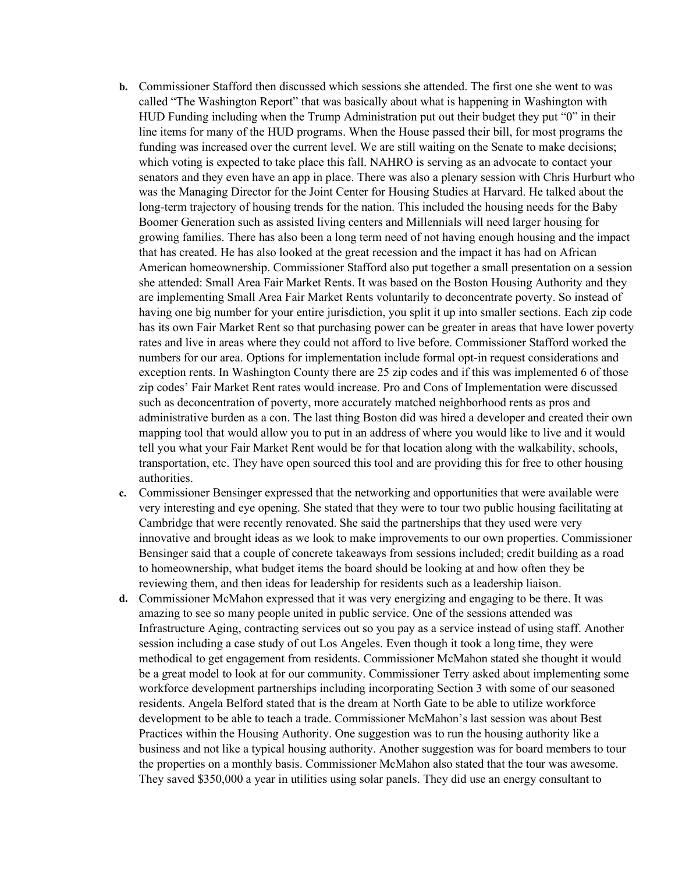- **b.** Commissioner Stafford then discussed which sessions she attended. The first one she went to was called "The Washington Report" that was basically about what is happening in Washington with HUD Funding including when the Trump Administration put out their budget they put "0" in their line items for many of the HUD programs. When the House passed their bill, for most programs the funding was increased over the current level. We are still waiting on the Senate to make decisions; which voting is expected to take place this fall. NAHRO is serving as an advocate to contact your senators and they even have an app in place. There was also a plenary session with Chris Hurburt who was the Managing Director for the Joint Center for Housing Studies at Harvard. He talked about the long-term trajectory of housing trends for the nation. This included the housing needs for the Baby Boomer Generation such as assisted living centers and Millennials will need larger housing for growing families. There has also been a long term need of not having enough housing and the impact that has created. He has also looked at the great recession and the impact it has had on African American homeownership. Commissioner Stafford also put together a small presentation on a session she attended: Small Area Fair Market Rents. It was based on the Boston Housing Authority and they are implementing Small Area Fair Market Rents voluntarily to deconcentrate poverty. So instead of having one big number for your entire jurisdiction, you split it up into smaller sections. Each zip code has its own Fair Market Rent so that purchasing power can be greater in areas that have lower poverty rates and live in areas where they could not afford to live before. Commissioner Stafford worked the numbers for our area. Options for implementation include formal opt-in request considerations and exception rents. In Washington County there are 25 zip codes and if this was implemented 6 of those zip codes' Fair Market Rent rates would increase. Pro and Cons of Implementation were discussed such as deconcentration of poverty, more accurately matched neighborhood rents as pros and administrative burden as a con. The last thing Boston did was hired a developer and created their own mapping tool that would allow you to put in an address of where you would like to live and it would tell you what your Fair Market Rent would be for that location along with the walkability, schools, transportation, etc. They have open sourced this tool and are providing this for free to other housing authorities.
- **c.** Commissioner Bensinger expressed that the networking and opportunities that were available were very interesting and eye opening. She stated that they were to tour two public housing facilitating at Cambridge that were recently renovated. She said the partnerships that they used were very innovative and brought ideas as we look to make improvements to our own properties. Commissioner Bensinger said that a couple of concrete takeaways from sessions included; credit building as a road to homeownership, what budget items the board should be looking at and how often they be reviewing them, and then ideas for leadership for residents such as a leadership liaison.
- **d.** Commissioner McMahon expressed that it was very energizing and engaging to be there. It was amazing to see so many people united in public service. One of the sessions attended was Infrastructure Aging, contracting services out so you pay as a service instead of using staff. Another session including a case study of out Los Angeles. Even though it took a long time, they were methodical to get engagement from residents. Commissioner McMahon stated she thought it would be a great model to look at for our community. Commissioner Terry asked about implementing some workforce development partnerships including incorporating Section 3 with some of our seasoned residents. Angela Belford stated that is the dream at North Gate to be able to utilize workforce development to be able to teach a trade. Commissioner McMahon's last session was about Best Practices within the Housing Authority. One suggestion was to run the housing authority like a business and not like a typical housing authority. Another suggestion was for board members to tour the properties on a monthly basis. Commissioner McMahon also stated that the tour was awesome. They saved \$350,000 a year in utilities using solar panels. They did use an energy consultant to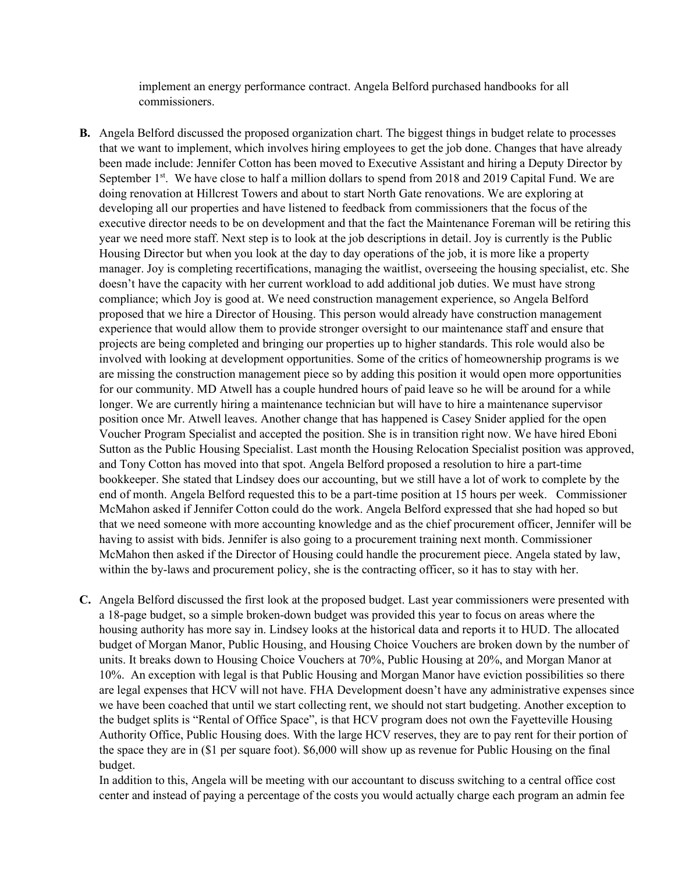implement an energy performance contract. Angela Belford purchased handbooks for all commissioners.

- **B.** Angela Belford discussed the proposed organization chart. The biggest things in budget relate to processes that we want to implement, which involves hiring employees to get the job done. Changes that have already been made include: Jennifer Cotton has been moved to Executive Assistant and hiring a Deputy Director by September 1<sup>st</sup>. We have close to half a million dollars to spend from 2018 and 2019 Capital Fund. We are doing renovation at Hillcrest Towers and about to start North Gate renovations. We are exploring at developing all our properties and have listened to feedback from commissioners that the focus of the executive director needs to be on development and that the fact the Maintenance Foreman will be retiring this year we need more staff. Next step is to look at the job descriptions in detail. Joy is currently is the Public Housing Director but when you look at the day to day operations of the job, it is more like a property manager. Joy is completing recertifications, managing the waitlist, overseeing the housing specialist, etc. She doesn't have the capacity with her current workload to add additional job duties. We must have strong compliance; which Joy is good at. We need construction management experience, so Angela Belford proposed that we hire a Director of Housing. This person would already have construction management experience that would allow them to provide stronger oversight to our maintenance staff and ensure that projects are being completed and bringing our properties up to higher standards. This role would also be involved with looking at development opportunities. Some of the critics of homeownership programs is we are missing the construction management piece so by adding this position it would open more opportunities for our community. MD Atwell has a couple hundred hours of paid leave so he will be around for a while longer. We are currently hiring a maintenance technician but will have to hire a maintenance supervisor position once Mr. Atwell leaves. Another change that has happened is Casey Snider applied for the open Voucher Program Specialist and accepted the position. She is in transition right now. We have hired Eboni Sutton as the Public Housing Specialist. Last month the Housing Relocation Specialist position was approved, and Tony Cotton has moved into that spot. Angela Belford proposed a resolution to hire a part-time bookkeeper. She stated that Lindsey does our accounting, but we still have a lot of work to complete by the end of month. Angela Belford requested this to be a part-time position at 15 hours per week. Commissioner McMahon asked if Jennifer Cotton could do the work. Angela Belford expressed that she had hoped so but that we need someone with more accounting knowledge and as the chief procurement officer, Jennifer will be having to assist with bids. Jennifer is also going to a procurement training next month. Commissioner McMahon then asked if the Director of Housing could handle the procurement piece. Angela stated by law, within the by-laws and procurement policy, she is the contracting officer, so it has to stay with her.
- **C.** Angela Belford discussed the first look at the proposed budget. Last year commissioners were presented with a 18-page budget, so a simple broken-down budget was provided this year to focus on areas where the housing authority has more say in. Lindsey looks at the historical data and reports it to HUD. The allocated budget of Morgan Manor, Public Housing, and Housing Choice Vouchers are broken down by the number of units. It breaks down to Housing Choice Vouchers at 70%, Public Housing at 20%, and Morgan Manor at 10%. An exception with legal is that Public Housing and Morgan Manor have eviction possibilities so there are legal expenses that HCV will not have. FHA Development doesn't have any administrative expenses since we have been coached that until we start collecting rent, we should not start budgeting. Another exception to the budget splits is "Rental of Office Space", is that HCV program does not own the Fayetteville Housing Authority Office, Public Housing does. With the large HCV reserves, they are to pay rent for their portion of the space they are in (\$1 per square foot). \$6,000 will show up as revenue for Public Housing on the final budget.

In addition to this, Angela will be meeting with our accountant to discuss switching to a central office cost center and instead of paying a percentage of the costs you would actually charge each program an admin fee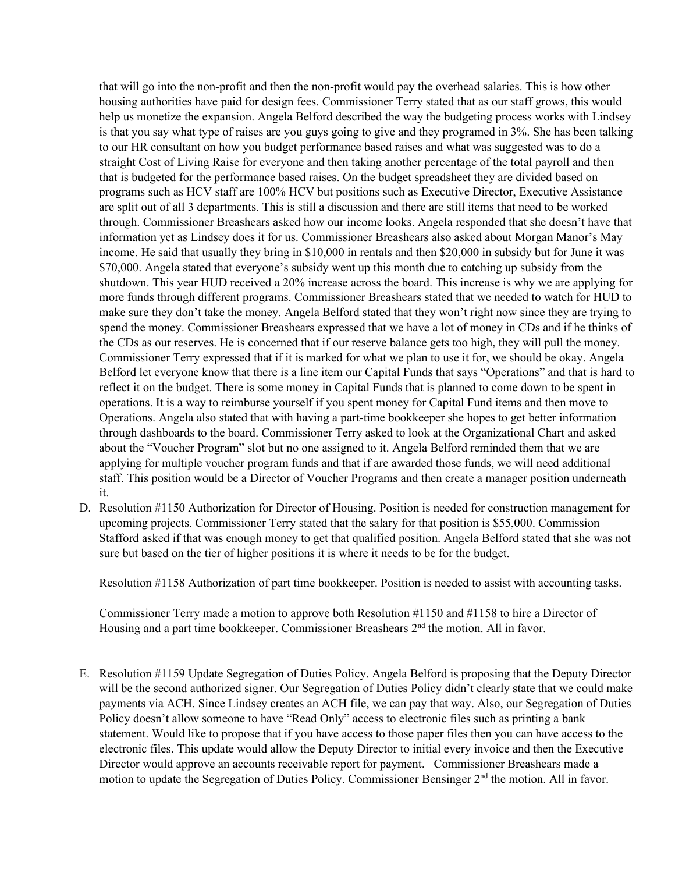that will go into the non-profit and then the non-profit would pay the overhead salaries. This is how other housing authorities have paid for design fees. Commissioner Terry stated that as our staff grows, this would help us monetize the expansion. Angela Belford described the way the budgeting process works with Lindsey is that you say what type of raises are you guys going to give and they programed in 3%. She has been talking to our HR consultant on how you budget performance based raises and what was suggested was to do a straight Cost of Living Raise for everyone and then taking another percentage of the total payroll and then that is budgeted for the performance based raises. On the budget spreadsheet they are divided based on programs such as HCV staff are 100% HCV but positions such as Executive Director, Executive Assistance are split out of all 3 departments. This is still a discussion and there are still items that need to be worked through. Commissioner Breashears asked how our income looks. Angela responded that she doesn't have that information yet as Lindsey does it for us. Commissioner Breashears also asked about Morgan Manor's May income. He said that usually they bring in \$10,000 in rentals and then \$20,000 in subsidy but for June it was \$70,000. Angela stated that everyone's subsidy went up this month due to catching up subsidy from the shutdown. This year HUD received a 20% increase across the board. This increase is why we are applying for more funds through different programs. Commissioner Breashears stated that we needed to watch for HUD to make sure they don't take the money. Angela Belford stated that they won't right now since they are trying to spend the money. Commissioner Breashears expressed that we have a lot of money in CDs and if he thinks of the CDs as our reserves. He is concerned that if our reserve balance gets too high, they will pull the money. Commissioner Terry expressed that if it is marked for what we plan to use it for, we should be okay. Angela Belford let everyone know that there is a line item our Capital Funds that says "Operations" and that is hard to reflect it on the budget. There is some money in Capital Funds that is planned to come down to be spent in operations. It is a way to reimburse yourself if you spent money for Capital Fund items and then move to Operations. Angela also stated that with having a part-time bookkeeper she hopes to get better information through dashboards to the board. Commissioner Terry asked to look at the Organizational Chart and asked about the "Voucher Program" slot but no one assigned to it. Angela Belford reminded them that we are applying for multiple voucher program funds and that if are awarded those funds, we will need additional staff. This position would be a Director of Voucher Programs and then create a manager position underneath it.

D. Resolution #1150 Authorization for Director of Housing. Position is needed for construction management for upcoming projects. Commissioner Terry stated that the salary for that position is \$55,000. Commission Stafford asked if that was enough money to get that qualified position. Angela Belford stated that she was not sure but based on the tier of higher positions it is where it needs to be for the budget.

Resolution #1158 Authorization of part time bookkeeper. Position is needed to assist with accounting tasks.

Commissioner Terry made a motion to approve both Resolution #1150 and #1158 to hire a Director of Housing and a part time bookkeeper. Commissioner Breashears  $2<sup>nd</sup>$  the motion. All in favor.

E. Resolution #1159 Update Segregation of Duties Policy. Angela Belford is proposing that the Deputy Director will be the second authorized signer. Our Segregation of Duties Policy didn't clearly state that we could make payments via ACH. Since Lindsey creates an ACH file, we can pay that way. Also, our Segregation of Duties Policy doesn't allow someone to have "Read Only" access to electronic files such as printing a bank statement. Would like to propose that if you have access to those paper files then you can have access to the electronic files. This update would allow the Deputy Director to initial every invoice and then the Executive Director would approve an accounts receivable report for payment. Commissioner Breashears made a motion to update the Segregation of Duties Policy. Commissioner Bensinger  $2<sup>nd</sup>$  the motion. All in favor.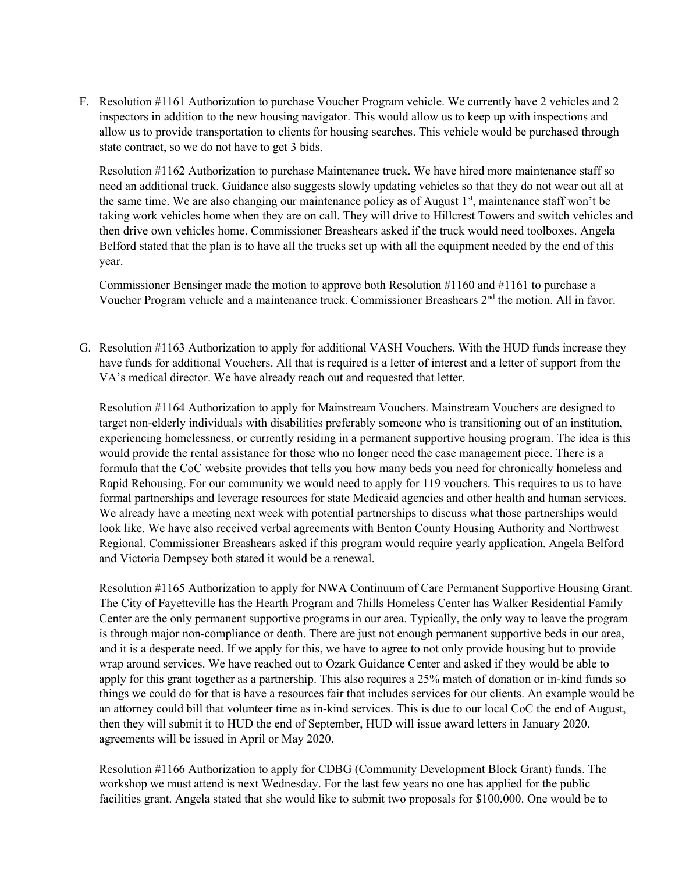F. Resolution #1161 Authorization to purchase Voucher Program vehicle. We currently have 2 vehicles and 2 inspectors in addition to the new housing navigator. This would allow us to keep up with inspections and allow us to provide transportation to clients for housing searches. This vehicle would be purchased through state contract, so we do not have to get 3 bids.

Resolution #1162 Authorization to purchase Maintenance truck. We have hired more maintenance staff so need an additional truck. Guidance also suggests slowly updating vehicles so that they do not wear out all at the same time. We are also changing our maintenance policy as of August  $1<sup>st</sup>$ , maintenance staff won't be taking work vehicles home when they are on call. They will drive to Hillcrest Towers and switch vehicles and then drive own vehicles home. Commissioner Breashears asked if the truck would need toolboxes. Angela Belford stated that the plan is to have all the trucks set up with all the equipment needed by the end of this year.

Commissioner Bensinger made the motion to approve both Resolution #1160 and #1161 to purchase a Voucher Program vehicle and a maintenance truck. Commissioner Breashears 2nd the motion. All in favor.

G. Resolution #1163 Authorization to apply for additional VASH Vouchers. With the HUD funds increase they have funds for additional Vouchers. All that is required is a letter of interest and a letter of support from the VA's medical director. We have already reach out and requested that letter.

Resolution #1164 Authorization to apply for Mainstream Vouchers. Mainstream Vouchers are designed to target non-elderly individuals with disabilities preferably someone who is transitioning out of an institution, experiencing homelessness, or currently residing in a permanent supportive housing program. The idea is this would provide the rental assistance for those who no longer need the case management piece. There is a formula that the CoC website provides that tells you how many beds you need for chronically homeless and Rapid Rehousing. For our community we would need to apply for 119 vouchers. This requires to us to have formal partnerships and leverage resources for state Medicaid agencies and other health and human services. We already have a meeting next week with potential partnerships to discuss what those partnerships would look like. We have also received verbal agreements with Benton County Housing Authority and Northwest Regional. Commissioner Breashears asked if this program would require yearly application. Angela Belford and Victoria Dempsey both stated it would be a renewal.

Resolution #1165 Authorization to apply for NWA Continuum of Care Permanent Supportive Housing Grant. The City of Fayetteville has the Hearth Program and 7hills Homeless Center has Walker Residential Family Center are the only permanent supportive programs in our area. Typically, the only way to leave the program is through major non-compliance or death. There are just not enough permanent supportive beds in our area, and it is a desperate need. If we apply for this, we have to agree to not only provide housing but to provide wrap around services. We have reached out to Ozark Guidance Center and asked if they would be able to apply for this grant together as a partnership. This also requires a 25% match of donation or in-kind funds so things we could do for that is have a resources fair that includes services for our clients. An example would be an attorney could bill that volunteer time as in-kind services. This is due to our local CoC the end of August, then they will submit it to HUD the end of September, HUD will issue award letters in January 2020, agreements will be issued in April or May 2020.

Resolution #1166 Authorization to apply for CDBG (Community Development Block Grant) funds. The workshop we must attend is next Wednesday. For the last few years no one has applied for the public facilities grant. Angela stated that she would like to submit two proposals for \$100,000. One would be to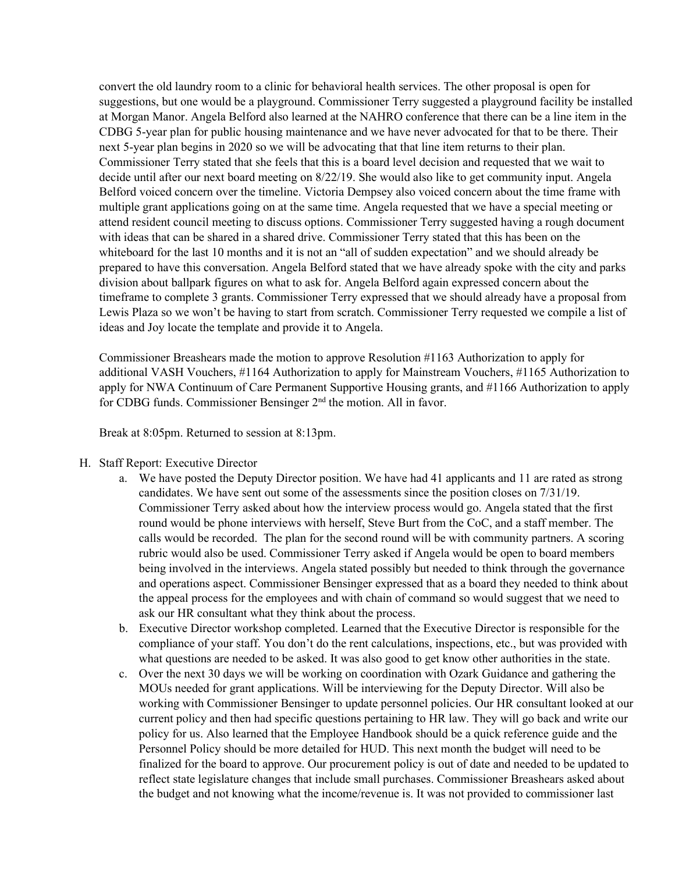convert the old laundry room to a clinic for behavioral health services. The other proposal is open for suggestions, but one would be a playground. Commissioner Terry suggested a playground facility be installed at Morgan Manor. Angela Belford also learned at the NAHRO conference that there can be a line item in the CDBG 5-year plan for public housing maintenance and we have never advocated for that to be there. Their next 5-year plan begins in 2020 so we will be advocating that that line item returns to their plan. Commissioner Terry stated that she feels that this is a board level decision and requested that we wait to decide until after our next board meeting on 8/22/19. She would also like to get community input. Angela Belford voiced concern over the timeline. Victoria Dempsey also voiced concern about the time frame with multiple grant applications going on at the same time. Angela requested that we have a special meeting or attend resident council meeting to discuss options. Commissioner Terry suggested having a rough document with ideas that can be shared in a shared drive. Commissioner Terry stated that this has been on the whiteboard for the last 10 months and it is not an "all of sudden expectation" and we should already be prepared to have this conversation. Angela Belford stated that we have already spoke with the city and parks division about ballpark figures on what to ask for. Angela Belford again expressed concern about the timeframe to complete 3 grants. Commissioner Terry expressed that we should already have a proposal from Lewis Plaza so we won't be having to start from scratch. Commissioner Terry requested we compile a list of ideas and Joy locate the template and provide it to Angela.

Commissioner Breashears made the motion to approve Resolution #1163 Authorization to apply for additional VASH Vouchers, #1164 Authorization to apply for Mainstream Vouchers, #1165 Authorization to apply for NWA Continuum of Care Permanent Supportive Housing grants, and #1166 Authorization to apply for CDBG funds. Commissioner Bensinger 2<sup>nd</sup> the motion. All in favor.

Break at 8:05pm. Returned to session at 8:13pm.

- H. Staff Report: Executive Director
	- a. We have posted the Deputy Director position. We have had 41 applicants and 11 are rated as strong candidates. We have sent out some of the assessments since the position closes on 7/31/19. Commissioner Terry asked about how the interview process would go. Angela stated that the first round would be phone interviews with herself, Steve Burt from the CoC, and a staff member. The calls would be recorded. The plan for the second round will be with community partners. A scoring rubric would also be used. Commissioner Terry asked if Angela would be open to board members being involved in the interviews. Angela stated possibly but needed to think through the governance and operations aspect. Commissioner Bensinger expressed that as a board they needed to think about the appeal process for the employees and with chain of command so would suggest that we need to ask our HR consultant what they think about the process.
	- b. Executive Director workshop completed. Learned that the Executive Director is responsible for the compliance of your staff. You don't do the rent calculations, inspections, etc., but was provided with what questions are needed to be asked. It was also good to get know other authorities in the state.
	- c. Over the next 30 days we will be working on coordination with Ozark Guidance and gathering the MOUs needed for grant applications. Will be interviewing for the Deputy Director. Will also be working with Commissioner Bensinger to update personnel policies. Our HR consultant looked at our current policy and then had specific questions pertaining to HR law. They will go back and write our policy for us. Also learned that the Employee Handbook should be a quick reference guide and the Personnel Policy should be more detailed for HUD. This next month the budget will need to be finalized for the board to approve. Our procurement policy is out of date and needed to be updated to reflect state legislature changes that include small purchases. Commissioner Breashears asked about the budget and not knowing what the income/revenue is. It was not provided to commissioner last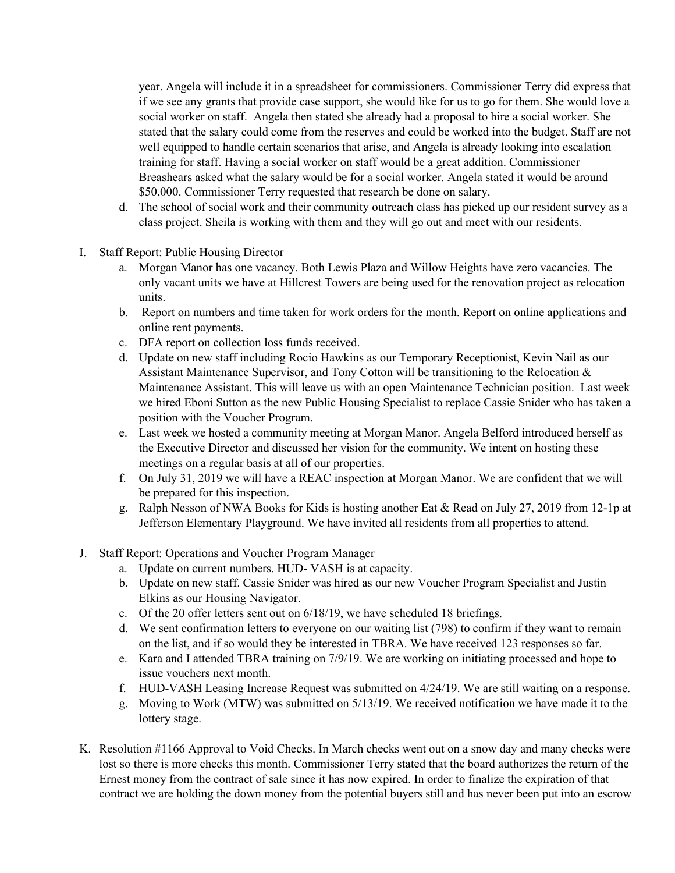year. Angela will include it in a spreadsheet for commissioners. Commissioner Terry did express that if we see any grants that provide case support, she would like for us to go for them. She would love a social worker on staff. Angela then stated she already had a proposal to hire a social worker. She stated that the salary could come from the reserves and could be worked into the budget. Staff are not well equipped to handle certain scenarios that arise, and Angela is already looking into escalation training for staff. Having a social worker on staff would be a great addition. Commissioner Breashears asked what the salary would be for a social worker. Angela stated it would be around \$50,000. Commissioner Terry requested that research be done on salary.

- d. The school of social work and their community outreach class has picked up our resident survey as a class project. Sheila is working with them and they will go out and meet with our residents.
- I. Staff Report: Public Housing Director
	- a. Morgan Manor has one vacancy. Both Lewis Plaza and Willow Heights have zero vacancies. The only vacant units we have at Hillcrest Towers are being used for the renovation project as relocation units.
	- b. Report on numbers and time taken for work orders for the month. Report on online applications and online rent payments.
	- c. DFA report on collection loss funds received.
	- d. Update on new staff including Rocio Hawkins as our Temporary Receptionist, Kevin Nail as our Assistant Maintenance Supervisor, and Tony Cotton will be transitioning to the Relocation & Maintenance Assistant. This will leave us with an open Maintenance Technician position. Last week we hired Eboni Sutton as the new Public Housing Specialist to replace Cassie Snider who has taken a position with the Voucher Program.
	- e. Last week we hosted a community meeting at Morgan Manor. Angela Belford introduced herself as the Executive Director and discussed her vision for the community. We intent on hosting these meetings on a regular basis at all of our properties.
	- f. On July 31, 2019 we will have a REAC inspection at Morgan Manor. We are confident that we will be prepared for this inspection.
	- g. Ralph Nesson of NWA Books for Kids is hosting another Eat & Read on July 27, 2019 from 12-1p at Jefferson Elementary Playground. We have invited all residents from all properties to attend.
- J. Staff Report: Operations and Voucher Program Manager
	- a. Update on current numbers. HUD- VASH is at capacity.
	- b. Update on new staff. Cassie Snider was hired as our new Voucher Program Specialist and Justin Elkins as our Housing Navigator.
	- c. Of the 20 offer letters sent out on 6/18/19, we have scheduled 18 briefings.
	- d. We sent confirmation letters to everyone on our waiting list (798) to confirm if they want to remain on the list, and if so would they be interested in TBRA. We have received 123 responses so far.
	- e. Kara and I attended TBRA training on 7/9/19. We are working on initiating processed and hope to issue vouchers next month.
	- f. HUD-VASH Leasing Increase Request was submitted on 4/24/19. We are still waiting on a response.
	- g. Moving to Work (MTW) was submitted on 5/13/19. We received notification we have made it to the lottery stage.
- K. Resolution #1166 Approval to Void Checks. In March checks went out on a snow day and many checks were lost so there is more checks this month. Commissioner Terry stated that the board authorizes the return of the Ernest money from the contract of sale since it has now expired. In order to finalize the expiration of that contract we are holding the down money from the potential buyers still and has never been put into an escrow